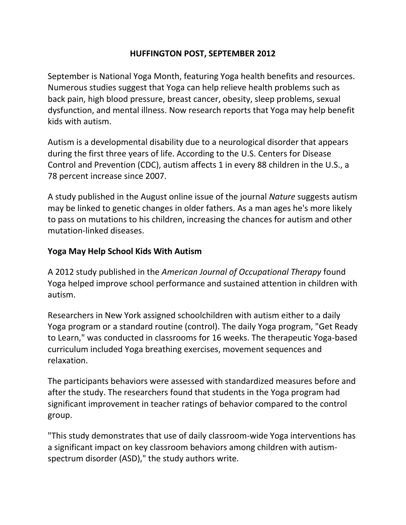## **HUFFINGTON POST, SEPTEMBER 2012**

September is [National Yoga Month,](http://yogahealthfoundation.org/yoga_month) featuring Yoga health benefits and resources. Numerous studies suggest that Yoga can help relieve health problems such as [back pain,](http://www.huffingtonpost.com/elaine-gavalas/yoga-health_b_1304296.html) [high blood pressure,](http://www.huffingtonpost.com/elaine-gavalas/yoga-heart-health_b_1277096.html) [breast cancer,](http://www.huffingtonpost.com/elaine-gavalas/yoga-cancer_b_1602621.html) [obesity,](http://www.huffingtonpost.com/elaine-gavalas/yoga_b_1181874.html) [sleep problems,](http://www.huffingtonpost.com/elaine-gavalas/yoga-sleep_b_1719825.html) [sexual](http://www.huffingtonpost.com/elaine-gavalas/yoga-sex-_b_1219682.html)  [dysfunction,](http://www.huffingtonpost.com/elaine-gavalas/yoga-sex-_b_1219682.html) and [mental illness.](http://www.huffingtonpost.com/elaine-gavalas/yoga-ptsd_b_1521193.html) Now research reports that Yoga may help benefit kids with autism.

Autism is a developmental disability due to a neurological disorder that appears during the first three years of life. According to the [U.S. Centers for Disease](http://www.cdc.gov/media/releases/2012/p0329_autism_disorder.html)  [Control and Prevention \(CDC\), a](http://www.cdc.gov/media/releases/2012/p0329_autism_disorder.html)utism affects 1 in every 88 children in the U.S., a 78 percent increase since 2007.

A study published in the August online issue of the journal *Nature* suggests [autism](http://www.nature.com/news/fathers-bequeath-more-mutations-as-they-age-1.11247)  [may be linked to genetic changes in older fathers.](http://www.nature.com/news/fathers-bequeath-more-mutations-as-they-age-1.11247) As a man ages he's more likely to pass on mutations to his children, increasing the chances for autism and other mutation-linked diseases.

## **Yoga May Help School Kids With Autism**

A 2012 study published in the *American Journal of Occupational Therapy* found [Yoga helped improve school performance and sustained attention in children with](http://www.ncbi.nlm.nih.gov/pubmed/22917120)  [autism.](http://www.ncbi.nlm.nih.gov/pubmed/22917120)

Researchers in New York assigned schoolchildren with autism either to a daily Yoga program or a standard routine (control). The daily Yoga program, "Get Ready to Learn," was conducted in classrooms for 16 weeks. The therapeutic Yoga-based curriculum included Yoga breathing exercises, movement sequences and relaxation.

The participants behaviors were assessed with standardized measures before and after the study. The researchers found that students in the Yoga program had significant improvement in teacher ratings of behavior compared to the control group.

"This study demonstrates that use of daily classroom-wide Yoga interventions has a significant impact on key classroom behaviors among children with autismspectrum disorder (ASD)," the study authors write.